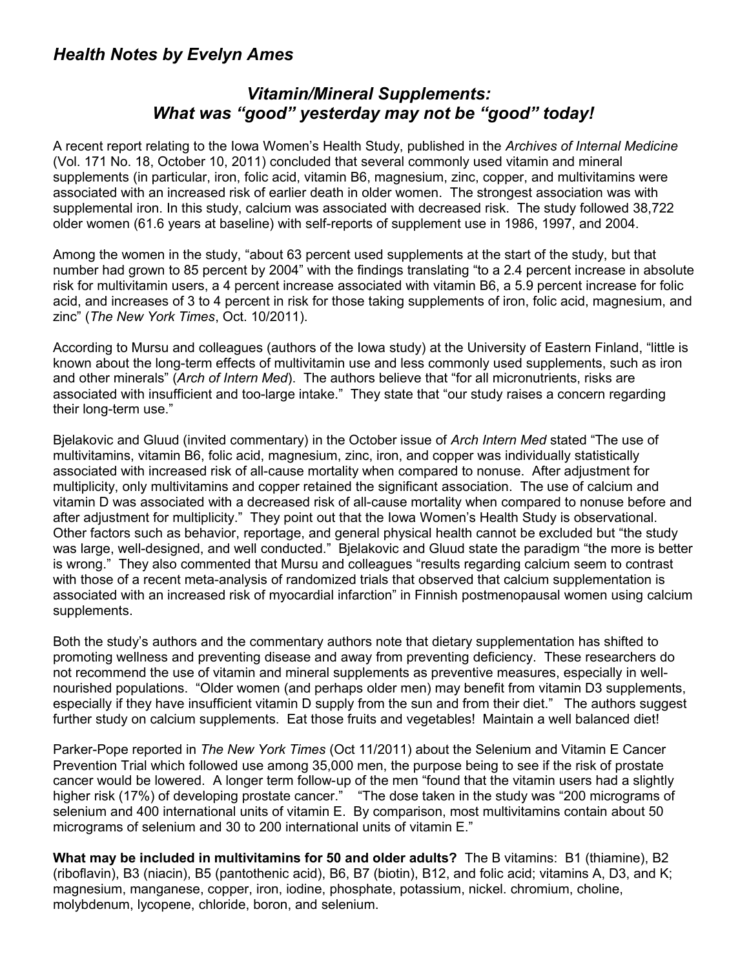## *Health Notes by Evelyn Ames*

## *Vitamin/Mineral Supplements: What was "good" yesterday may not be "good" today!*

A recent report relating to the Iowa Women's Health Study, published in the *Archives of Internal Medicine* (Vol. 171 No. 18, October 10, 2011) concluded that several commonly used vitamin and mineral supplements (in particular, iron, folic acid, vitamin B6, magnesium, zinc, copper, and multivitamins were associated with an increased risk of earlier death in older women. The strongest association was with supplemental iron. In this study, calcium was associated with decreased risk. The study followed 38,722 older women (61.6 years at baseline) with self-reports of supplement use in 1986, 1997, and 2004.

Among the women in the study, "about 63 percent used supplements at the start of the study, but that number had grown to 85 percent by 2004" with the findings translating "to a 2.4 percent increase in absolute risk for multivitamin users, a 4 percent increase associated with vitamin B6, a 5.9 percent increase for folic acid, and increases of 3 to 4 percent in risk for those taking supplements of iron, folic acid, magnesium, and zinc" (*The New York Times*, Oct. 10/2011).

According to Mursu and colleagues (authors of the Iowa study) at the University of Eastern Finland, "little is known about the long-term effects of multivitamin use and less commonly used supplements, such as iron and other minerals" (*Arch of Intern Med*). The authors believe that "for all micronutrients, risks are associated with insufficient and too-large intake." They state that "our study raises a concern regarding their long-term use."

Bjelakovic and Gluud (invited commentary) in the October issue of *Arch Intern Med* stated "The use of multivitamins, vitamin B6, folic acid, magnesium, zinc, iron, and copper was individually statistically associated with increased risk of all-cause mortality when compared to nonuse. After adjustment for multiplicity, only multivitamins and copper retained the significant association. The use of calcium and vitamin D was associated with a decreased risk of all-cause mortality when compared to nonuse before and after adjustment for multiplicity." They point out that the Iowa Women's Health Study is observational. Other factors such as behavior, reportage, and general physical health cannot be excluded but "the study was large, well-designed, and well conducted." Bjelakovic and Gluud state the paradigm "the more is better is wrong." They also commented that Mursu and colleagues "results regarding calcium seem to contrast with those of a recent meta-analysis of randomized trials that observed that calcium supplementation is associated with an increased risk of myocardial infarction" in Finnish postmenopausal women using calcium supplements.

Both the study's authors and the commentary authors note that dietary supplementation has shifted to promoting wellness and preventing disease and away from preventing deficiency. These researchers do not recommend the use of vitamin and mineral supplements as preventive measures, especially in wellnourished populations. "Older women (and perhaps older men) may benefit from vitamin D3 supplements, especially if they have insufficient vitamin D supply from the sun and from their diet." The authors suggest further study on calcium supplements. Eat those fruits and vegetables! Maintain a well balanced diet!

Parker-Pope reported in *The New York Times* (Oct 11/2011) about the Selenium and Vitamin E Cancer Prevention Trial which followed use among 35,000 men, the purpose being to see if the risk of prostate cancer would be lowered. A longer term follow-up of the men "found that the vitamin users had a slightly higher risk (17%) of developing prostate cancer." "The dose taken in the study was "200 micrograms of selenium and 400 international units of vitamin E. By comparison, most multivitamins contain about 50 micrograms of selenium and 30 to 200 international units of vitamin E."

**What may be included in multivitamins for 50 and older adults?** The B vitamins: B1 (thiamine), B2 (riboflavin), B3 (niacin), B5 (pantothenic acid), B6, B7 (biotin), B12, and folic acid; vitamins A, D3, and K; magnesium, manganese, copper, iron, iodine, phosphate, potassium, nickel. chromium, choline, molybdenum, lycopene, chloride, boron, and selenium.